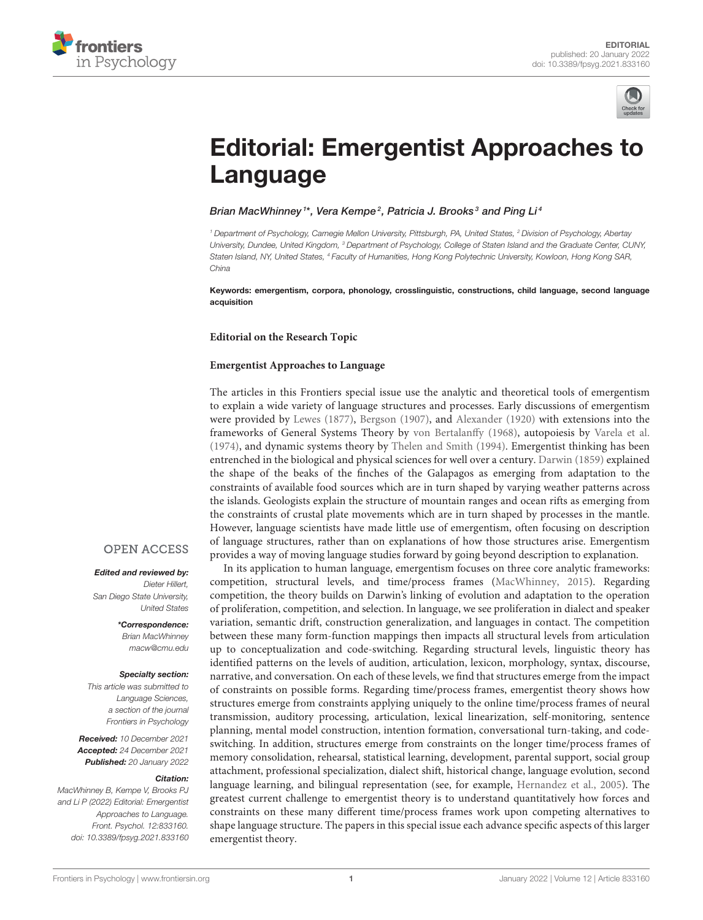



# [Editorial: Emergentist Approaches to](https://www.frontiersin.org/articles/10.3389/fpsyg.2021.833160/full) Language

### Brian MacWhinney1\*, Vera Kempe<sup>2</sup>, Patricia J. Brooks<sup>3</sup> and Ping Li4

*<sup>1</sup> Department of Psychology, Carnegie Mellon University, Pittsburgh, PA, United States, <sup>2</sup> Division of Psychology, Abertay University, Dundee, United Kingdom, <sup>3</sup> Department of Psychology, College of Staten Island and the Graduate Center, CUNY, Staten Island, NY, United States, <sup>4</sup> Faculty of Humanities, Hong Kong Polytechnic University, Kowloon, Hong Kong SAR, China*

Keywords: emergentism, corpora, phonology, crosslinguistic, constructions, child language, second language acquisition

#### **Editorial on the Research Topic**

#### **[Emergentist Approaches to Language](https://www.frontiersin.org/research-topics/11158/emergentist-approaches-to-language)**

The articles in this Frontiers special issue use the analytic and theoretical tools of emergentism to explain a wide variety of language structures and processes. Early discussions of emergentism were provided by [Lewes \(1877\)](#page-3-0), [Bergson \(1907\)](#page-3-1), and [Alexander \(1920\)](#page-3-2) with extensions into the frameworks of General Systems Theory by [von Bertalanffy \(1968\)](#page-3-3), autopoiesis by [Varela et al.](#page-3-4) [\(1974\)](#page-3-4), and dynamic systems theory by [Thelen and Smith \(1994\)](#page-3-5). Emergentist thinking has been entrenched in the biological and physical sciences for well over a century. [Darwin \(1859\)](#page-3-6) explained the shape of the beaks of the finches of the Galapagos as emerging from adaptation to the constraints of available food sources which are in turn shaped by varying weather patterns across the islands. Geologists explain the structure of mountain ranges and ocean rifts as emerging from the constraints of crustal plate movements which are in turn shaped by processes in the mantle. However, language scientists have made little use of emergentism, often focusing on description of language structures, rather than on explanations of how those structures arise. Emergentism provides a way of moving language studies forward by going beyond description to explanation.

In its application to human language, emergentism focuses on three core analytic frameworks: competition, structural levels, and time/process frames [\(MacWhinney, 2015\)](#page-3-7). Regarding competition, the theory builds on Darwin's linking of evolution and adaptation to the operation of proliferation, competition, and selection. In language, we see proliferation in dialect and speaker variation, semantic drift, construction generalization, and languages in contact. The competition between these many form-function mappings then impacts all structural levels from articulation up to conceptualization and code-switching. Regarding structural levels, linguistic theory has identified patterns on the levels of audition, articulation, lexicon, morphology, syntax, discourse, narrative, and conversation. On each of these levels, we find that structures emerge from the impact of constraints on possible forms. Regarding time/process frames, emergentist theory shows how structures emerge from constraints applying uniquely to the online time/process frames of neural transmission, auditory processing, articulation, lexical linearization, self-monitoring, sentence planning, mental model construction, intention formation, conversational turn-taking, and codeswitching. In addition, structures emerge from constraints on the longer time/process frames of memory consolidation, rehearsal, statistical learning, development, parental support, social group attachment, professional specialization, dialect shift, historical change, language evolution, second language learning, and bilingual representation (see, for example, [Hernandez et al., 2005\)](#page-3-8). The greatest current challenge to emergentist theory is to understand quantitatively how forces and constraints on these many different time/process frames work upon competing alternatives to shape language structure. The papers in this special issue each advance specific aspects of this larger emergentist theory.

## **OPEN ACCESS**

#### Edited and reviewed by:

*Dieter Hillert, San Diego State University, United States*

> \*Correspondence: *Brian MacWhinney [macw@cmu.edu](mailto:macw@cmu.edu)*

#### Specialty section:

*This article was submitted to Language Sciences, a section of the journal Frontiers in Psychology*

Received: *10 December 2021* Accepted: *24 December 2021* Published: *20 January 2022*

#### Citation:

*MacWhinney B, Kempe V, Brooks PJ and Li P (2022) Editorial: Emergentist Approaches to Language. Front. Psychol. 12:833160. doi: [10.3389/fpsyg.2021.833160](https://doi.org/10.3389/fpsyg.2021.833160)*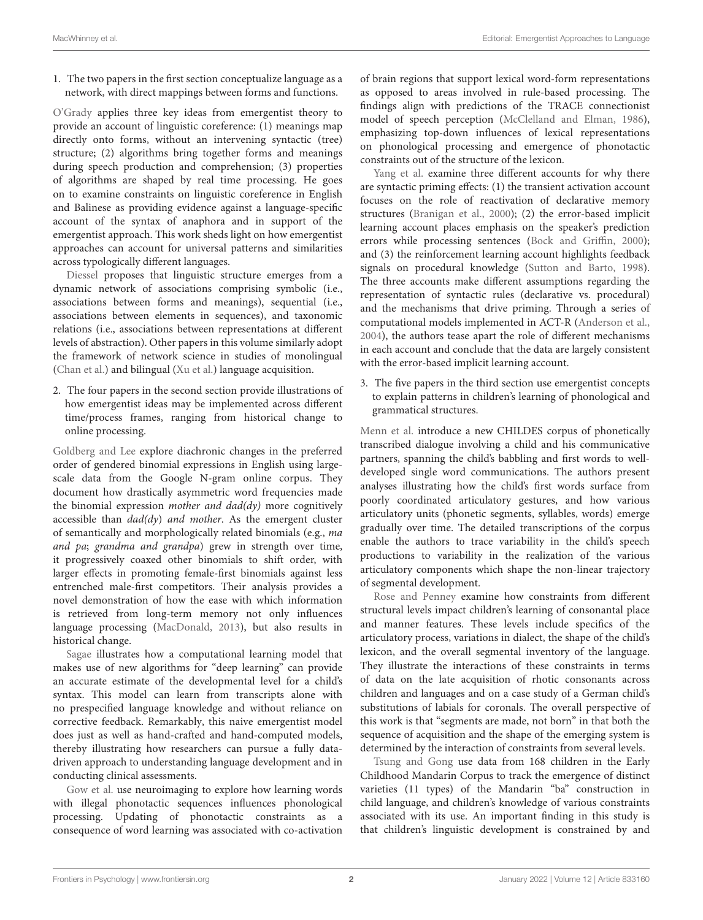1. The two papers in the first section conceptualize language as a network, with direct mappings between forms and functions.

[O'Grady](https://doi.org/10.3389/fpsyg.2021.660296) applies three key ideas from emergentist theory to provide an account of linguistic coreference: (1) meanings map directly onto forms, without an intervening syntactic (tree) structure; (2) algorithms bring together forms and meanings during speech production and comprehension; (3) properties of algorithms are shaped by real time processing. He goes on to examine constraints on linguistic coreference in English and Balinese as providing evidence against a language-specific account of the syntax of anaphora and in support of the emergentist approach. This work sheds light on how emergentist approaches can account for universal patterns and similarities across typologically different languages.

[Diessel](https://doi.org/10.3389/fpsyg.2020.604853) proposes that linguistic structure emerges from a dynamic network of associations comprising symbolic (i.e., associations between forms and meanings), sequential (i.e., associations between elements in sequences), and taxonomic relations (i.e., associations between representations at different levels of abstraction). Other papers in this volume similarly adopt the framework of network science in studies of monolingual [\(Chan et al.\)](https://doi.org/10.3389/fpsyg.2021.679008) and bilingual [\(Xu et al.\)](https://doi.org/10.3389/fpsyg.2021.662409) language acquisition.

2. The four papers in the second section provide illustrations of how emergentist ideas may be implemented across different time/process frames, ranging from historical change to online processing.

[Goldberg and Lee](https://doi.org/10.3389/fpsyg.2021.662884) explore diachronic changes in the preferred order of gendered binomial expressions in English using largescale data from the Google N-gram online corpus. They document how drastically asymmetric word frequencies made the binomial expression mother and  $dad(dy)$  more cognitively accessible than  $dad(dy)$  and mother. As the emergent cluster of semantically and morphologically related binomials (e.g., ma and pa; grandma and grandpa) grew in strength over time, it progressively coaxed other binomials to shift order, with larger effects in promoting female-first binomials against less entrenched male-first competitors. Their analysis provides a novel demonstration of how the ease with which information is retrieved from long-term memory not only influences language processing [\(MacDonald, 2013\)](#page-3-9), but also results in historical change.

[Sagae](https://doi.org/10.3389/fpsyg.2021.674402) illustrates how a computational learning model that makes use of new algorithms for "deep learning" can provide an accurate estimate of the developmental level for a child's syntax. This model can learn from transcripts alone with no prespecified language knowledge and without reliance on corrective feedback. Remarkably, this naive emergentist model does just as well as hand-crafted and hand-computed models, thereby illustrating how researchers can pursue a fully datadriven approach to understanding language development and in conducting clinical assessments.

[Gow et al.](https://doi.org/10.3389/fpsyg.2021.590155) use neuroimaging to explore how learning words with illegal phonotactic sequences influences phonological processing. Updating of phonotactic constraints as a consequence of word learning was associated with co-activation of brain regions that support lexical word-form representations as opposed to areas involved in rule-based processing. The findings align with predictions of the TRACE connectionist model of speech perception [\(McClelland and Elman, 1986\)](#page-3-10), emphasizing top-down influences of lexical representations on phonological processing and emergence of phonotactic constraints out of the structure of the lexicon.

[Yang et al.](https://doi.org/10.3389/fpsyg.2021.662345) examine three different accounts for why there are syntactic priming effects: (1) the transient activation account focuses on the role of reactivation of declarative memory structures [\(Branigan et al., 2000\)](#page-3-11); (2) the error-based implicit learning account places emphasis on the speaker's prediction errors while processing sentences [\(Bock and Griffin, 2000\)](#page-3-12); and (3) the reinforcement learning account highlights feedback signals on procedural knowledge [\(Sutton and Barto, 1998\)](#page-3-13). The three accounts make different assumptions regarding the representation of syntactic rules (declarative vs. procedural) and the mechanisms that drive priming. Through a series of computational models implemented in ACT-R [\(Anderson et al.,](#page-3-14) [2004\)](#page-3-14), the authors tease apart the role of different mechanisms in each account and conclude that the data are largely consistent with the error-based implicit learning account.

3. The five papers in the third section use emergentist concepts to explain patterns in children's learning of phonological and grammatical structures.

[Menn et al.](https://doi.org/10.3389/fpsyg.2021.646090) introduce a new CHILDES corpus of phonetically transcribed dialogue involving a child and his communicative partners, spanning the child's babbling and first words to welldeveloped single word communications. The authors present analyses illustrating how the child's first words surface from poorly coordinated articulatory gestures, and how various articulatory units (phonetic segments, syllables, words) emerge gradually over time. The detailed transcriptions of the corpus enable the authors to trace variability in the child's speech productions to variability in the realization of the various articulatory components which shape the non-linear trajectory of segmental development.

[Rose and Penney](https://doi.org/10.3389/fpsyg.2021.646713) examine how constraints from different structural levels impact children's learning of consonantal place and manner features. These levels include specifics of the articulatory process, variations in dialect, the shape of the child's lexicon, and the overall segmental inventory of the language. They illustrate the interactions of these constraints in terms of data on the late acquisition of rhotic consonants across children and languages and on a case study of a German child's substitutions of labials for coronals. The overall perspective of this work is that "segments are made, not born" in that both the sequence of acquisition and the shape of the emerging system is determined by the interaction of constraints from several levels.

[Tsung and Gong](https://doi.org/10.3389/fpsyg.2020.607818) use data from 168 children in the Early Childhood Mandarin Corpus to track the emergence of distinct varieties (11 types) of the Mandarin "ba" construction in child language, and children's knowledge of various constraints associated with its use. An important finding in this study is that children's linguistic development is constrained by and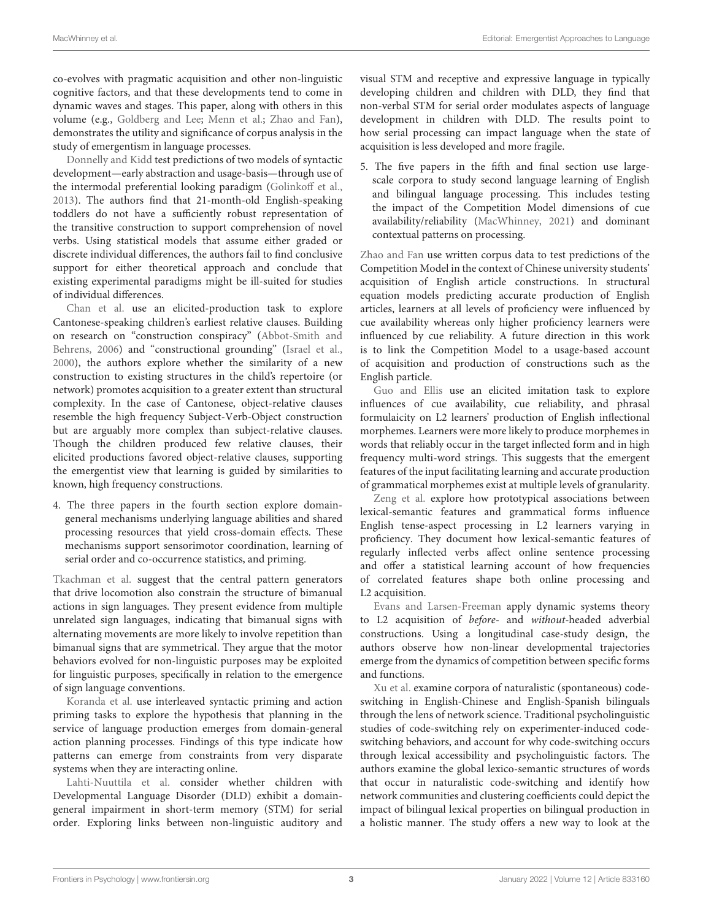co-evolves with pragmatic acquisition and other non-linguistic cognitive factors, and that these developments tend to come in dynamic waves and stages. This paper, along with others in this volume (e.g., [Goldberg and Lee;](https://doi.org/10.3389/fpsyg.2021.662884) [Menn et al.;](https://doi.org/10.3389/fpsyg.2021.646090) [Zhao and Fan\)](https://doi.org/10.3389/fpsyg.2021.653258), demonstrates the utility and significance of corpus analysis in the study of emergentism in language processes.

[Donnelly and Kidd](https://doi.org/10.3389/fpsyg.2021.661022) test predictions of two models of syntactic development—early abstraction and usage-basis—through use of the intermodal preferential looking paradigm [\(Golinkoff et al.,](#page-3-15) [2013\)](#page-3-15). The authors find that 21-month-old English-speaking toddlers do not have a sufficiently robust representation of the transitive construction to support comprehension of novel verbs. Using statistical models that assume either graded or discrete individual differences, the authors fail to find conclusive support for either theoretical approach and conclude that existing experimental paradigms might be ill-suited for studies of individual differences.

[Chan et al.](https://doi.org/10.3389/fpsyg.2021.679008) use an elicited-production task to explore Cantonese-speaking children's earliest relative clauses. Building on research on "construction conspiracy" (Abbot-Smith and Behrens, [2006\)](#page-3-16) and "constructional grounding" [\(Israel et al.,](#page-3-17) [2000\)](#page-3-17), the authors explore whether the similarity of a new construction to existing structures in the child's repertoire (or network) promotes acquisition to a greater extent than structural complexity. In the case of Cantonese, object-relative clauses resemble the high frequency Subject-Verb-Object construction but are arguably more complex than subject-relative clauses. Though the children produced few relative clauses, their elicited productions favored object-relative clauses, supporting the emergentist view that learning is guided by similarities to known, high frequency constructions.

4. The three papers in the fourth section explore domaingeneral mechanisms underlying language abilities and shared processing resources that yield cross-domain effects. These mechanisms support sensorimotor coordination, learning of serial order and co-occurrence statistics, and priming.

[Tkachman et al.](https://doi.org/10.3389/fcomm.2020.612973) suggest that the central pattern generators that drive locomotion also constrain the structure of bimanual actions in sign languages. They present evidence from multiple unrelated sign languages, indicating that bimanual signs with alternating movements are more likely to involve repetition than bimanual signs that are symmetrical. They argue that the motor behaviors evolved for non-linguistic purposes may be exploited for linguistic purposes, specifically in relation to the emergence of sign language conventions.

[Koranda et al.](https://doi.org/10.3389/fpsyg.2020.01193) use interleaved syntactic priming and action priming tasks to explore the hypothesis that planning in the service of language production emerges from domain-general action planning processes. Findings of this type indicate how patterns can emerge from constraints from very disparate systems when they are interacting online.

[Lahti-Nuuttila et al.](https://doi.org/10.3389/fpsyg.2021.608069) consider whether children with Developmental Language Disorder (DLD) exhibit a domaingeneral impairment in short-term memory (STM) for serial order. Exploring links between non-linguistic auditory and visual STM and receptive and expressive language in typically developing children and children with DLD, they find that non-verbal STM for serial order modulates aspects of language development in children with DLD. The results point to how serial processing can impact language when the state of acquisition is less developed and more fragile.

5. The five papers in the fifth and final section use largescale corpora to study second language learning of English and bilingual language processing. This includes testing the impact of the Competition Model dimensions of cue availability/reliability [\(MacWhinney, 2021\)](#page-3-18) and dominant contextual patterns on processing.

[Zhao and Fan](https://doi.org/10.3389/fpsyg.2021.653258) use written corpus data to test predictions of the Competition Model in the context of Chinese university students' acquisition of English article constructions. In structural equation models predicting accurate production of English articles, learners at all levels of proficiency were influenced by cue availability whereas only higher proficiency learners were influenced by cue reliability. A future direction in this work is to link the Competition Model to a usage-based account of acquisition and production of constructions such as the English particle.

[Guo and Ellis](https://doi.org/10.3389/fpsyg.2021.582259) use an elicited imitation task to explore influences of cue availability, cue reliability, and phrasal formulaicity on L2 learners' production of English inflectional morphemes. Learners were more likely to produce morphemes in words that reliably occur in the target inflected form and in high frequency multi-word strings. This suggests that the emergent features of the input facilitating learning and accurate production of grammatical morphemes exist at multiple levels of granularity.

[Zeng et al.](https://doi.org/10.3389/fpsyg.2021.661923) explore how prototypical associations between lexical-semantic features and grammatical forms influence English tense-aspect processing in L2 learners varying in proficiency. They document how lexical-semantic features of regularly inflected verbs affect online sentence processing and offer a statistical learning account of how frequencies of correlated features shape both online processing and L2 acquisition.

[Evans and Larsen-Freeman](https://doi.org/10.3389/fpsyg.2020.574603) apply dynamic systems theory to L2 acquisition of before- and without-headed adverbial constructions. Using a longitudinal case-study design, the authors observe how non-linear developmental trajectories emerge from the dynamics of competition between specific forms and functions.

[Xu et al.](https://doi.org/10.3389/fpsyg.2021.662409) examine corpora of naturalistic (spontaneous) codeswitching in English-Chinese and English-Spanish bilinguals through the lens of network science. Traditional psycholinguistic studies of code-switching rely on experimenter-induced codeswitching behaviors, and account for why code-switching occurs through lexical accessibility and psycholinguistic factors. The authors examine the global lexico-semantic structures of words that occur in naturalistic code-switching and identify how network communities and clustering coefficients could depict the impact of bilingual lexical properties on bilingual production in a holistic manner. The study offers a new way to look at the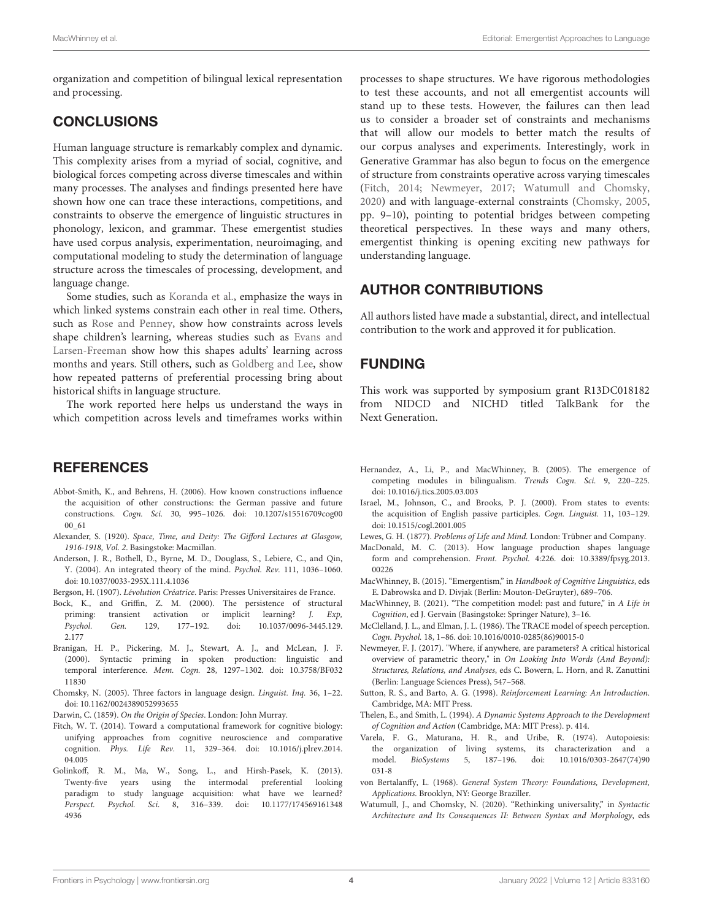organization and competition of bilingual lexical representation and processing.

# **CONCLUSIONS**

Human language structure is remarkably complex and dynamic. This complexity arises from a myriad of social, cognitive, and biological forces competing across diverse timescales and within many processes. The analyses and findings presented here have shown how one can trace these interactions, competitions, and constraints to observe the emergence of linguistic structures in phonology, lexicon, and grammar. These emergentist studies have used corpus analysis, experimentation, neuroimaging, and computational modeling to study the determination of language structure across the timescales of processing, development, and language change.

Some studies, such as [Koranda et al.,](https://doi.org/10.3389/fpsyg.2020.01193) emphasize the ways in which linked systems constrain each other in real time. Others, such as [Rose and Penney,](https://doi.org/10.3389/fpsyg.2021.646713) show how constraints across levels [shape children's learning, whereas studies such as](https://doi.org/10.3389/fpsyg.2020.574603) Evans and Larsen-Freeman show how this shapes adults' learning across months and years. Still others, such as [Goldberg and Lee,](https://doi.org/10.3389/fpsyg.2021.662884) show how repeated patterns of preferential processing bring about historical shifts in language structure.

The work reported here helps us understand the ways in which competition across levels and timeframes works within

# **REFERENCES**

- <span id="page-3-16"></span>Abbot-Smith, K., and Behrens, H. (2006). How known constructions influence the acquisition of other constructions: the German passive and future constructions. Cogn. Sci. [30, 995–1026. doi: 10.1207/s15516709cog00](https://doi.org/10.1207/s15516709cog0000_61) 00\_61
- <span id="page-3-2"></span>Alexander, S. (1920). Space, Time, and Deity: The Gifford Lectures at Glasgow, 1916-1918, Vol. 2. Basingstoke: Macmillan.
- <span id="page-3-14"></span>Anderson, J. R., Bothell, D., Byrne, M. D., Douglass, S., Lebiere, C., and Qin, Y. (2004). An integrated theory of the mind. Psychol. Rev. 111, 1036–1060. doi: [10.1037/0033-295X.111.4.1036](https://doi.org/10.1037/0033-295X.111.4.1036)
- <span id="page-3-1"></span>Bergson, H. (1907). Lévolution Créatrice. Paris: Presses Universitaires de France.
- <span id="page-3-12"></span>Bock, K., and Griffin, Z. M. (2000). The persistence of structural priming: transient activation or implicit learning? J. Exp, Psychol. Gen. [129, 177–192. doi: 10.1037/0096-3445.129.](https://doi.org/10.1037/0096-3445.129.2.177) 2.177
- <span id="page-3-11"></span>Branigan, H. P., Pickering, M. J., Stewart, A. J., and McLean, J. F. (2000). Syntactic priming in spoken production: linguistic and temporal interference. Mem. Cogn. [28, 1297–1302. doi: 10.3758/BF032](https://doi.org/10.3758/BF03211830) 11830
- <span id="page-3-22"></span>Chomsky, N. (2005). Three factors in language design. Linguist. Inq. 36, 1–22. doi: [10.1162/0024389052993655](https://doi.org/10.1162/0024389052993655)
- <span id="page-3-6"></span>Darwin, C. (1859). On the Origin of Species. London: John Murray.
- <span id="page-3-19"></span>Fitch, W. T. (2014). Toward a computational framework for cognitive biology: unifying approaches from cognitive neuroscience and comparative cognition. Phys. Life Rev. [11, 329–364. doi: 10.1016/j.plrev.2014.](https://doi.org/10.1016/j.plrev.2014.04.005) 04.005
- <span id="page-3-15"></span>Golinkoff, R. M., Ma, W., Song, L., and Hirsh-Pasek, K. (2013). Twenty-five years using the intermodal preferential looking paradigm to study language acquisition: what have we learned? Perspect. Psychol. Sci. [8, 316–339. doi: 10.1177/174569161348](https://doi.org/10.1177/1745691613484936) 4936

processes to shape structures. We have rigorous methodologies to test these accounts, and not all emergentist accounts will stand up to these tests. However, the failures can then lead us to consider a broader set of constraints and mechanisms that will allow our models to better match the results of our corpus analyses and experiments. Interestingly, work in Generative Grammar has also begun to focus on the emergence of structure from constraints operative across varying timescales [\(Fitch, 2014;](#page-3-19) [Newmeyer, 2017;](#page-3-20) [Watumull and Chomsky,](#page-3-21) [2020\)](#page-3-21) and with language-external constraints [\(Chomsky, 2005,](#page-3-22) pp. 9–10), pointing to potential bridges between competing theoretical perspectives. In these ways and many others, emergentist thinking is opening exciting new pathways for understanding language.

# AUTHOR CONTRIBUTIONS

All authors listed have made a substantial, direct, and intellectual contribution to the work and approved it for publication.

## FUNDING

This work was supported by symposium grant R13DC018182 from NIDCD and NICHD titled TalkBank for the Next Generation.

- <span id="page-3-8"></span>Hernandez, A., Li, P., and MacWhinney, B. (2005). The emergence of competing modules in bilingualism. Trends Cogn. Sci. 9, 220–225. doi: [10.1016/j.tics.2005.03.003](https://doi.org/10.1016/j.tics.2005.03.003)
- <span id="page-3-17"></span>Israel, M., Johnson, C., and Brooks, P. J. (2000). From states to events: the acquisition of English passive participles. Cogn. Linguist. 11, 103–129. doi: [10.1515/cogl.2001.005](https://doi.org/10.1515/cogl.2001.005)
- <span id="page-3-0"></span>Lewes, G. H. (1877). Problems of Life and Mind. London: Trübner and Company.
- <span id="page-3-9"></span>MacDonald, M. C. (2013). How language production shapes language form and comprehension. Front. Psychol. [4:226. doi: 10.3389/fpsyg.2013.](https://doi.org/10.3389/fpsyg.2013.00226) 00226
- <span id="page-3-7"></span>MacWhinney, B. (2015). "Emergentism," in Handbook of Cognitive Linguistics, eds E. Dabrowska and D. Divjak (Berlin: Mouton-DeGruyter), 689–706.
- <span id="page-3-18"></span>MacWhinney, B. (2021). "The competition model: past and future," in A Life in Cognition, ed J. Gervain (Basingstoke: Springer Nature), 3–16.
- <span id="page-3-10"></span>McClelland, J. L., and Elman, J. L. (1986). The TRACE model of speech perception. Cogn. Psychol. 18, 1–86. doi: [10.1016/0010-0285\(86\)90015-0](https://doi.org/10.1016/0010-0285(86)90015-0)
- <span id="page-3-20"></span>Newmeyer, F. J. (2017). "Where, if anywhere, are parameters? A critical historical overview of parametric theory," in On Looking Into Words (And Beyond): Structures, Relations, and Analyses, eds C. Bowern, L. Horn, and R. Zanuttini (Berlin: Language Sciences Press), 547–568.
- <span id="page-3-13"></span>Sutton, R. S., and Barto, A. G. (1998). Reinforcement Learning: An Introduction. Cambridge, MA: MIT Press.
- <span id="page-3-5"></span>Thelen, E., and Smith, L. (1994). A Dynamic Systems Approach to the Development of Cognition and Action (Cambridge, MA: MIT Press). p. 414.
- <span id="page-3-4"></span>Varela, F. G., Maturana, H. R., and Uribe, R. (1974). Autopoiesis: the organization of living systems, its characterization and a model. BioSystems [5, 187–196. doi: 10.1016/0303-2647\(74\)90](https://doi.org/10.1016/0303-2647(74)90031-8) 031-8
- <span id="page-3-3"></span>von Bertalanffy, L. (1968). General System Theory: Foundations, Development, Applications. Brooklyn, NY: George Braziller.
- <span id="page-3-21"></span>Watumull, J., and Chomsky, N. (2020). "Rethinking universality," in Syntactic Architecture and Its Consequences II: Between Syntax and Morphology, eds